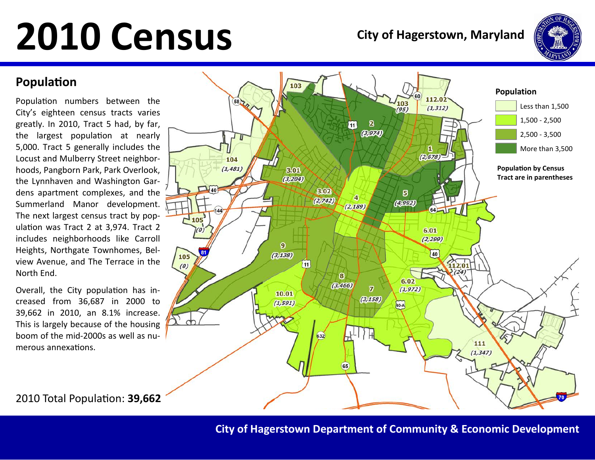

### Population

Population numbers between the City's eighteen census tracts varies greatly. In 2010, Tract 5 had, by far, the largest population at nearly 5,000. Tract 5 generally includes the Locust and Mulberry Street neighborhoods, Pangborn Park, Park Overlook, the Lynnhaven and Washington Gardens apartment complexes, and the Summerland Manor development. The next largest census tract by population was Tract 2 at 3,974. Tract 2 includes neighborhoods like Carroll Heights, Northgate Townhomes, Belview Avenue, and The Terrace in the North End.

Overall, the City population has increased from 36,687 in 2000 to 39,662 in 2010, an 8.1% increase. This is largely because of the housing boom of the mid-2000s as well as numerous annexations.



2010 Total Population: 39,662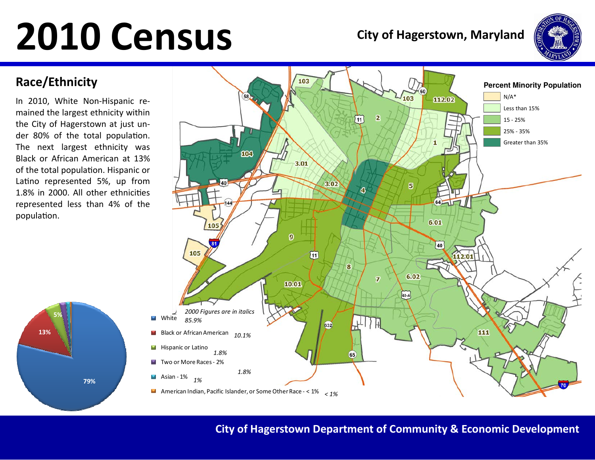

### Race/Ethnicity

In 2010, White Non-Hispanic remained the largest ethnicity within the City of Hagerstown at just under 80% of the total population. The next largest ethnicity was Black or African American at 13% of the total population. Hispanic or Latino represented 5%, up from 1.8% in 2000. All other ethnicities represented less than 4% of the population.

79%

13%

5%

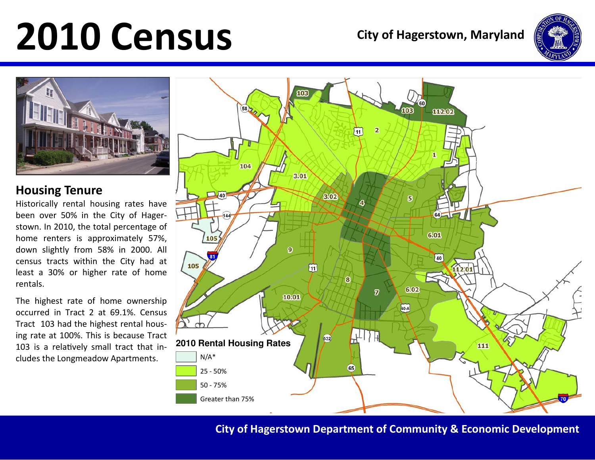



### Housing Tenure

 Historically rental housing rates have been over 50% in the City of Hagerstown. In 2010, the total percentage of home renters is approximately 57%, down slightly from 58% in 2000. All census tracts within the City had at least a 30% or higher rate of home rentals.

The highest rate of home ownership occurred in Tract 2 at 69.1%. Census Tract 103 had the highest rental housing rate at 100%. This is because Tract 103 is a relatively small tract that in- 2010 Rental Housing Rates<br>cludes the Longmeadow Apartments. **2010** N/A\*



City of Hagerstown Department of Community & Economic Development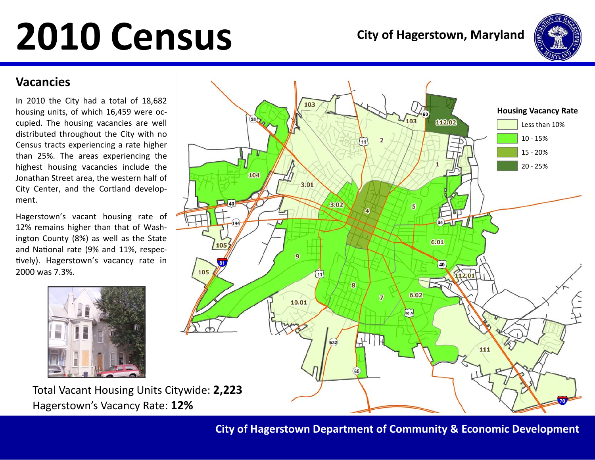

### Vacancies

In 2010 the City had a total of 18,682 housing units, of which 16,459 were occupied. The housing vacancies are well distributed throughout the City with no Census tracts experiencing a rate higher than 25%. The areas experiencing the highest housing vacancies include the Jonathan Street area, the western half of City Center, and the Cortland development.

Hagerstown's vacant housing rate of 12% remains higher than that of Washington County (8%) as well as the State and National rate (9% and 11%, respectively). Hagerstown's vacancy rate in 2000 was 7.3%.



Total Vacant Housing Units Citywide: 2,223Hagerstown's Vacancy Rate: 12%



City of Hagerstown Department of Community & Economic Development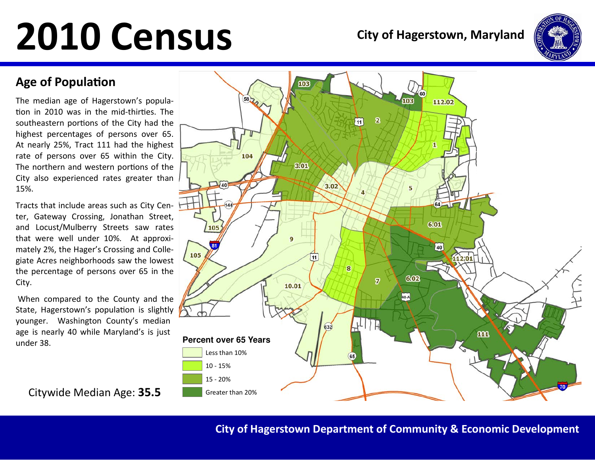

### **Age of Population**

The median age of Hagerstown's population in 2010 was in the mid-thirties. The southeastern portions of the City had the highest percentages of persons over 65. At nearly 25%, Tract 111 had the highest rate of persons over 65 within the City. The northern and western portions of the City also experienced rates greater than 15%.

Tracts that include areas such as City Center, Gateway Crossing, Jonathan Street, and Locust/Mulberry Streets saw rates that were well under 10%. At approximately 2%, the Hager's Crossing and Collegiate Acres neighborhoods saw the lowest the percentage of persons over 65 in the City.

 When compared to the County and the State, Hagerstown's population is slightly younger. Washington County's median age is nearly 40 while Maryland's is just under 38.

Citywide Median Age: 35.5